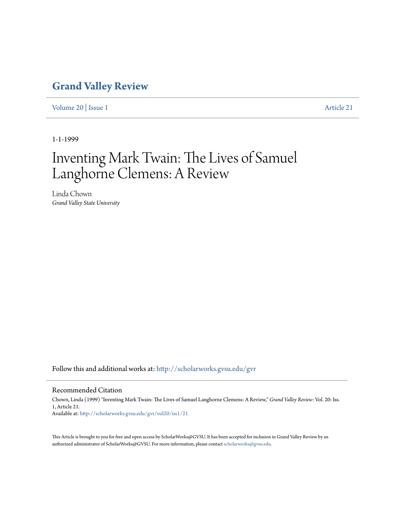## **[Grand Valley Review](http://scholarworks.gvsu.edu/gvr?utm_source=scholarworks.gvsu.edu%2Fgvr%2Fvol20%2Fiss1%2F21&utm_medium=PDF&utm_campaign=PDFCoverPages)**

[Volume 20](http://scholarworks.gvsu.edu/gvr/vol20?utm_source=scholarworks.gvsu.edu%2Fgvr%2Fvol20%2Fiss1%2F21&utm_medium=PDF&utm_campaign=PDFCoverPages) | [Issue 1](http://scholarworks.gvsu.edu/gvr/vol20/iss1?utm_source=scholarworks.gvsu.edu%2Fgvr%2Fvol20%2Fiss1%2F21&utm_medium=PDF&utm_campaign=PDFCoverPages) [Article 21](http://scholarworks.gvsu.edu/gvr/vol20/iss1/21?utm_source=scholarworks.gvsu.edu%2Fgvr%2Fvol20%2Fiss1%2F21&utm_medium=PDF&utm_campaign=PDFCoverPages)

1-1-1999

## Inventing Mark Twain: The Lives of Samuel Langhorne Clemens: A Review

Linda Chown *Grand Valley State University*

Follow this and additional works at: [http://scholarworks.gvsu.edu/gvr](http://scholarworks.gvsu.edu/gvr?utm_source=scholarworks.gvsu.edu%2Fgvr%2Fvol20%2Fiss1%2F21&utm_medium=PDF&utm_campaign=PDFCoverPages)

## Recommended Citation

Chown, Linda (1999) "Inventing Mark Twain: The Lives of Samuel Langhorne Clemens: A Review," *Grand Valley Review*: Vol. 20: Iss. 1, Article 21. Available at: [http://scholarworks.gvsu.edu/gvr/vol20/iss1/21](http://scholarworks.gvsu.edu/gvr/vol20/iss1/21?utm_source=scholarworks.gvsu.edu%2Fgvr%2Fvol20%2Fiss1%2F21&utm_medium=PDF&utm_campaign=PDFCoverPages)

This Article is brought to you for free and open access by ScholarWorks@GVSU. It has been accepted for inclusion in Grand Valley Review by an authorized administrator of ScholarWorks@GVSU. For more information, please contact [scholarworks@gvsu.edu.](mailto:scholarworks@gvsu.edu)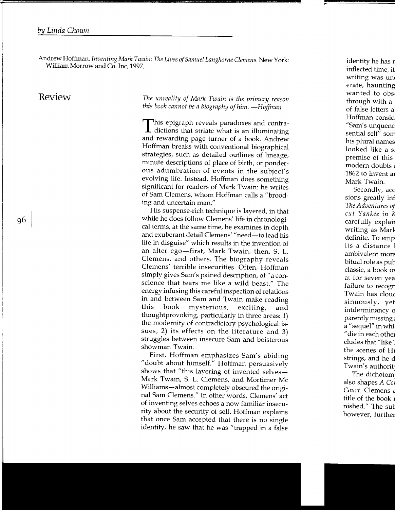Andrew Hoffman. *Inventing Mark Twain: The Lives of Samuel Langhorne Clemens.* New York: William Morrow and Co. Inc, 1997.

Review *The unreality of Mark Twain* is *the primary reason this book cannot be a biography of him. -Hoffman* 

> This epigraph reveals paradoxes and contra-dictions that striate what is an illuminating and rewarding page turner of a book. Andrew Hoffman breaks with conventional biographical strategies, such as detailed outlines of lineage, minute descriptions of place of birth, or ponderous adumbration of events in the subject's evolving life. Instead, Hoffman does something significant for readers of Mark Twain: he writes of Sam Clemens, whom Hoffman calls a "brooding and uncertain man."

> His suspense-rich technique is layered, in that while he does follow Clemens' life in chronological terms, at the same time, he examines in depth and exuberant detail Clemens' "need-to lead his life in disguise" which results in the invention of an alter ego-first, Mark Twain, then, S. L. Clemens, and others. The biography reveals Clemens' terrible insecurities. Often, Hoffman simply gives Sam's pained description, of "a conscience that tears me like a wild beast." The energy infusing this careful inspection of relations in and between Sam and Twain make reading this book mysterious, exciting, and thoughtprovoking, particularly in three areas: 1) the modernity of contradictory psychological issues, 2) its effects on the literature and 3) struggles between insecure Sam and boisterous showman Twain.

> First, Hoffman emphasizes Sam's abiding "doubt about himself." Hoffman persuasively shows that "this layering of invented selves— Mark Twain, S. L. Clemens, and Mortimer Me Williams-almost completely obscured the original Sam Clemens." In other words, Clemens' act of inventing selves echoes a now familiar insecurity about the security of self. Hoffman explains that once Sam accepted that there is no single identity, he saw that he was "trapped in a false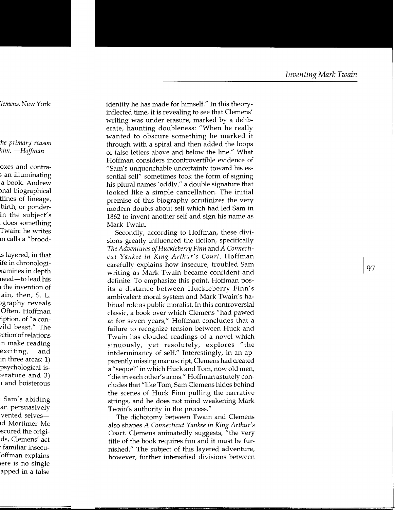identity he has made for himself." In this theoryinflected time, it is revealing to see that Clemens' writing was under erasure, marked by a deliberate, haunting doubleness: "When he really wanted to obscure something he marked it through with a spiral and then added the loops of false letters above and below the line." What Hoffman considers incontrovertible evidence of "Sam's unquenchable uncertainty toward his essential self" sometimes took the form of signing his plural names' oddly," a double signature that looked like a simple cancellation. The initial premise of this biography scrutinizes the very modern doubts about self which had led Sam in 1862 to invent another self and sign his name as Mark Twain.

Secondly, according to Hoffman, these divisions greatly influenced the fiction, specifically *The Adventures of Huckleberry Finn* and *A Connecticut Yankee in King Arthur's Court.* Hoffman carefully explains how insecure, troubled Sam writing as Mark Twain became confident and definite. To emphasize this point, Hoffman posits a distance between Huckleberry Finn's ambivalent moral system and Mark Twain's habitual role as public moralist. In this controversial classic, a book over which Clemens "had pawed at for seven years," Hoffman concludes that a failure to recognize tension between Huck and Twain has clouded readings of a novel which sinuously, yet resolutely, explores "the intderminancy of self." Interestingly, in an apparently missing manuscript, Clemens had created <sup>a</sup>" sequel" in which Huck and Tom, now old men, "die in each other's arms." Hoffman astutely concludes that "like Tom, Sam Clemens hides behind the scenes of Huck Finn pulling the narrative strings, and he does not mind weakening Mark Twain's authority in the process."

The dichotomy between Twain and Clemens also shapes *A Connecticut Yankee in King Arthur's Court.* Clemens animatedly suggests, "the very title of the book requires fun and it must be furnished." The subject of this layered adventure, however, further intensified divisions between